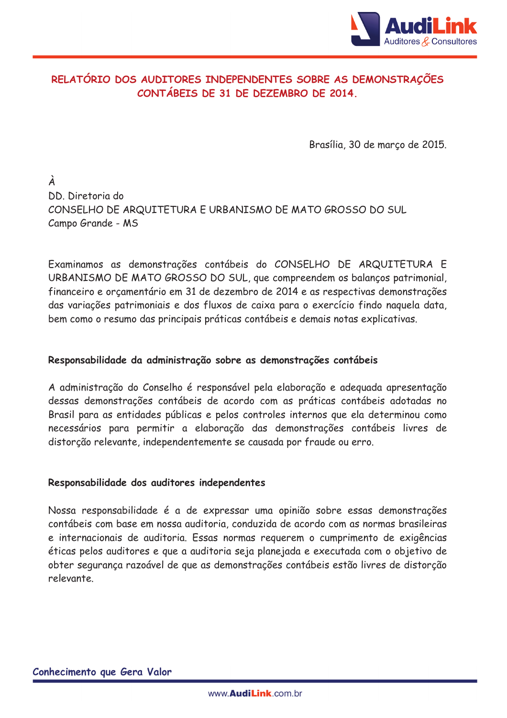

# RELATÓRIO DOS AUDITORES INDEPENDENTES SOBRE AS DEMONSTRAÇÕES CONTÁBEIS DE 31 DE DEZEMBRO DE 2014.

Brasília, 30 de março de 2015.

À DD. Diretoria do CONSELHO DE ARQUITETURA E URBANISMO DE MATO GROSSO DO SUL Campo Grande - MS

Examinamos as demonstrações contábeis do CONSELHO DE ARQUITETURA E URBANISMO DE MATO GROSSO DO SUL, que compreendem os balanços patrimonial, financeiro e orçamentário em 31 de dezembro de 2014 e as respectivas demonstrações das variações patrimoniais e dos fluxos de caixa para o exercício findo naquela data. bem como o resumo das principais práticas contábeis e demais notas explicativas.

#### Responsabilidade da administração sobre as demonstrações contábeis

A administração do Conselho é responsável pela elaboração e adequada apresentação dessas demonstrações contábeis de acordo com as práticas contábeis adotadas no Brasil para as entidades públicas e pelos controles internos que ela determinou como necessários para permitir a elaboração das demonstrações contábeis livres de distorção relevante, independentemente se causada por fraude ou erro.

#### Responsabilidade dos auditores independentes

Nossa responsabilidade é a de expressar uma opinião sobre essas demonstrações contábeis com base em nossa auditoria, conduzida de acordo com as normas brasileiras e internacionais de auditoria. Essas normas requerem o cumprimento de exigências éticas pelos auditores e que a auditoria seja planejada e executada com o objetivo de obter segurança razoável de que as demonstrações contábeis estão livres de distorção relevante.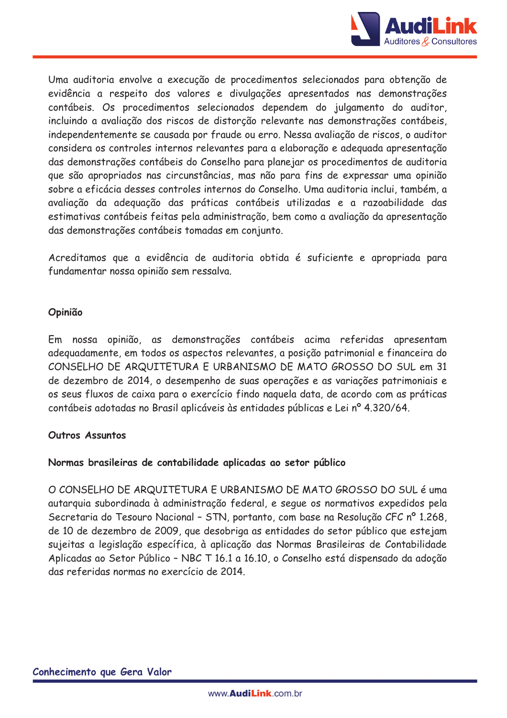

Uma auditoria envolve a execução de procedimentos selecionados para obtenção de evidência a respeito dos valores e divulgações apresentados nas demonstrações contábeis. Os procedimentos selecionados dependem do julgamento do auditor, incluindo a avaliação dos riscos de distorção relevante nas demonstrações contábeis, independentemente se causada por fraude ou erro. Nessa avaliação de riscos, o auditor considera os controles internos relevantes para a elaboração e adequada apresentação das demonstrações contábeis do Conselho para planejar os procedimentos de auditoria que são apropriados nas circunstâncias, mas não para fins de expressar uma opinião sobre a eficácia desses controles internos do Conselho. Uma auditoria inclui, também, a avaliação da adeguação das práticas contábeis utilizadas e a razoabilidade das estimativas contábeis feitas pela administração, bem como a avaliação da apresentação das demonstrações contábeis tomadas em conjunto.

Acreditamos que a evidência de auditoria obtida é suficiente e apropriada para fundamentar nossa opinião sem ressalva.

## Opinião

Em nossa opinião, as demonstrações contábeis acima referidas apresentam adeguadamente, em todos os aspectos relevantes, a posição patrimonial e financeira do CONSELHO DE ARQUITETURA E URBANISMO DE MATO GROSSO DO SUL em 31 de dezembro de 2014, o desempenho de suas operações e as variações patrimoniais e os seus fluxos de caixa para o exercício findo naguela data, de acordo com as práticas contábeis adotadas no Brasil aplicáveis às entidades públicas e Lei nº 4.320/64.

#### Outros Assuntos

## Normas brasileiras de contabilidade aplicadas ao setor público

O CONSELHO DE ARQUITETURA E URBANISMO DE MATO GROSSO DO SUL é uma autarquia subordinada à administração federal, e seque os normativos expedidos pela Secretaria do Tesouro Nacional - STN, portanto, com base na Resolução CFC nº 1.268, de 10 de dezembro de 2009, que desobriga as entidades do setor público que estejam sujeitas a legislação específica, à aplicação das Normas Brasileiras de Contabilidade Aplicadas ao Setor Público - NBC T 16.1 a 16.10, o Conselho está dispensado da adoção das referidas normas no exercício de 2014.